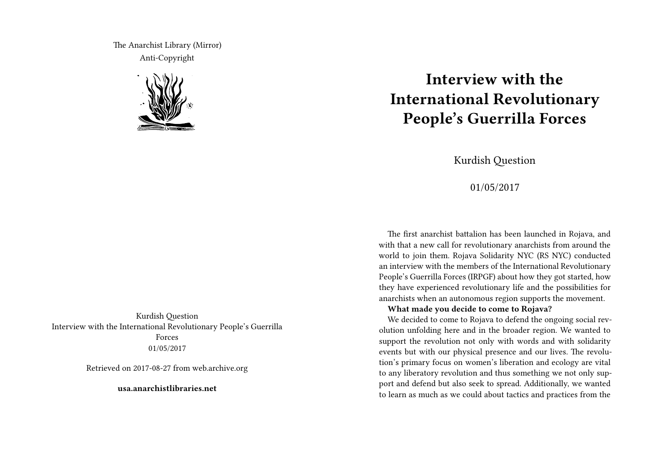The Anarchist Library (Mirror) Anti-Copyright



Kurdish Question Interview with the International Revolutionary People's Guerrilla Forces 01/05/2017

Retrieved on 2017-08-27 from web.archive.org

**usa.anarchistlibraries.net**

# **Interview with the International Revolutionary People's Guerrilla Forces**

Kurdish Question

## 01/05/2017

The first anarchist battalion has been launched in Rojava, and with that a new call for revolutionary anarchists from around the world to join them. Rojava Solidarity NYC (RS NYC) conducted an interview with the members of the International Revolutionary People's Guerrilla Forces (IRPGF) about how they got started, how they have experienced revolutionary life and the possibilities for anarchists when an autonomous region supports the movement.

#### **What made you decide to come to Rojava?**

We decided to come to Rojava to defend the ongoing social revolution unfolding here and in the broader region. We wanted to support the revolution not only with words and with solidarity events but with our physical presence and our lives. The revolution's primary focus on women's liberation and ecology are vital to any liberatory revolution and thus something we not only support and defend but also seek to spread. Additionally, we wanted to learn as much as we could about tactics and practices from the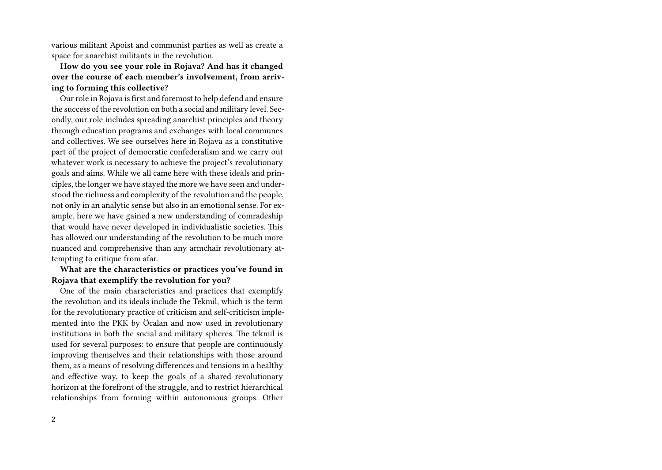various militant Apoist and communist parties as well as create a space for anarchist militants in the revolution.

# **How do you see your role in Rojava? And has it changed over the course of each member's involvement, from arriving to forming this collective?**

Our role in Rojava is first and foremost to help defend and ensure the success of the revolution on both a social and military level. Secondly, our role includes spreading anarchist principles and theory through education programs and exchanges with local communes and collectives. We see ourselves here in Rojava as a constitutive part of the project of democratic confederalism and we carry out whatever work is necessary to achieve the project's revolutionary goals and aims. While we all came here with these ideals and principles, the longer we have stayed the more we have seen and understood the richness and complexity of the revolution and the people, not only in an analytic sense but also in an emotional sense. For example, here we have gained a new understanding of comradeship that would have never developed in individualistic societies. This has allowed our understanding of the revolution to be much more nuanced and comprehensive than any armchair revolutionary attempting to critique from afar.

**What are the characteristics or practices you've found in Rojava that exemplify the revolution for you?**

One of the main characteristics and practices that exemplify the revolution and its ideals include the Tekmil, which is the term for the revolutionary practice of criticism and self-criticism implemented into the PKK by Öcalan and now used in revolutionary institutions in both the social and military spheres. The tekmil is used for several purposes: to ensure that people are continuously improving themselves and their relationships with those around them, as a means of resolving differences and tensions in a healthy and effective way, to keep the goals of a shared revolutionary horizon at the forefront of the struggle, and to restrict hierarchical relationships from forming within autonomous groups. Other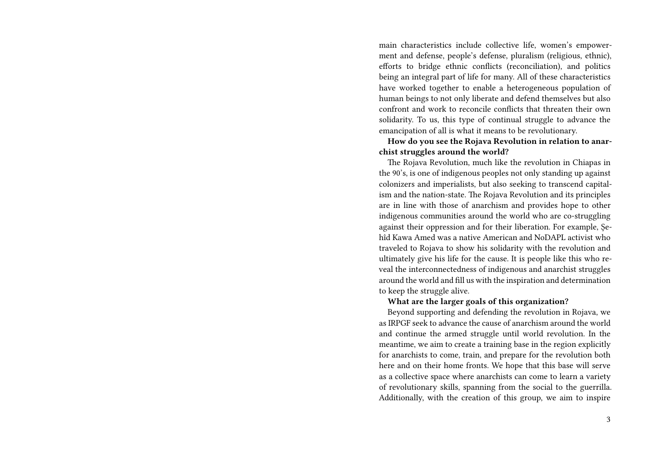main characteristics include collective life, women's empowerment and defense, people's defense, pluralism (religious, ethnic), efforts to bridge ethnic conflicts (reconciliation), and politics being an integral part of life for many. All of these characteristics have worked together to enable a heterogeneous population of human beings to not only liberate and defend themselves but also confront and work to reconcile conflicts that threaten their own solidarity. To us, this type of continual struggle to advance the emancipation of all is what it means to be revolutionary.

## **How do you see the Rojava Revolution in relation to anarchist struggles around the world?**

The Rojava Revolution, much like the revolution in Chiapas in the 90's, is one of indigenous peoples not only standing up against colonizers and imperialists, but also seeking to transcend capitalism and the nation-state. The Rojava Revolution and its principles are in line with those of anarchism and provides hope to other indigenous communities around the world who are co-struggling against their oppression and for their liberation. For example, Şehîd Kawa Amed was a native American and NoDAPL activist who traveled to Rojava to show his solidarity with the revolution and ultimately give his life for the cause. It is people like this who reveal the interconnectedness of indigenous and anarchist struggles around the world and fill us with the inspiration and determination to keep the struggle alive.

#### **What are the larger goals of this organization?**

Beyond supporting and defending the revolution in Rojava, we as IRPGF seek to advance the cause of anarchism around the world and continue the armed struggle until world revolution. In the meantime, we aim to create a training base in the region explicitly for anarchists to come, train, and prepare for the revolution both here and on their home fronts. We hope that this base will serve as a collective space where anarchists can come to learn a variety of revolutionary skills, spanning from the social to the guerrilla. Additionally, with the creation of this group, we aim to inspire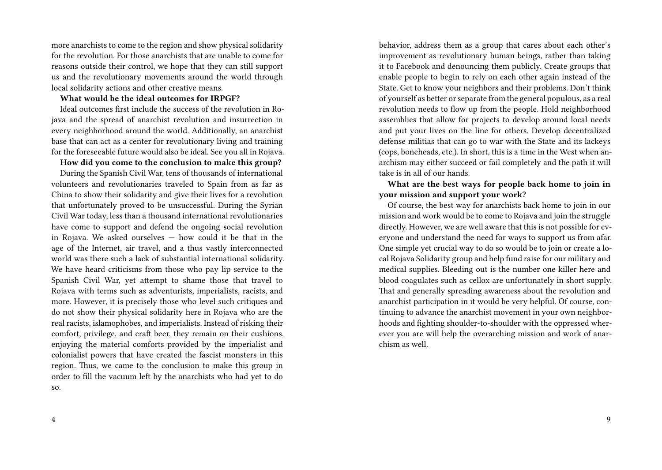more anarchists to come to the region and show physical solidarity for the revolution. For those anarchists that are unable to come for reasons outside their control, we hope that they can still support us and the revolutionary movements around the world through local solidarity actions and other creative means.

#### **What would be the ideal outcomes for IRPGF?**

Ideal outcomes first include the success of the revolution in Rojava and the spread of anarchist revolution and insurrection in every neighborhood around the world. Additionally, an anarchist base that can act as a center for revolutionary living and training for the foreseeable future would also be ideal. See you all in Rojava.

#### **How did you come to the conclusion to make this group?**

During the Spanish Civil War, tens of thousands of international volunteers and revolutionaries traveled to Spain from as far as China to show their solidarity and give their lives for a revolution that unfortunately proved to be unsuccessful. During the Syrian Civil War today, less than a thousand international revolutionaries have come to support and defend the ongoing social revolution in Rojava. We asked ourselves — how could it be that in the age of the Internet, air travel, and a thus vastly interconnected world was there such a lack of substantial international solidarity. We have heard criticisms from those who pay lip service to the Spanish Civil War, yet attempt to shame those that travel to Rojava with terms such as adventurists, imperialists, racists, and more. However, it is precisely those who level such critiques and do not show their physical solidarity here in Rojava who are the real racists, islamophobes, and imperialists. Instead of risking their comfort, privilege, and craft beer, they remain on their cushions, enjoying the material comforts provided by the imperialist and colonialist powers that have created the fascist monsters in this region. Thus, we came to the conclusion to make this group in order to fill the vacuum left by the anarchists who had yet to do so.

behavior, address them as a group that cares about each other's improvement as revolutionary human beings, rather than taking it to Facebook and denouncing them publicly. Create groups that enable people to begin to rely on each other again instead of the State. Get to know your neighbors and their problems. Don't think of yourself as better or separate from the general populous, as a real revolution needs to flow up from the people. Hold neighborhood assemblies that allow for projects to develop around local needs and put your lives on the line for others. Develop decentralized defense militias that can go to war with the State and its lackeys (cops, boneheads, etc.). In short, this is a time in the West when anarchism may either succeed or fail completely and the path it will take is in all of our hands.

## **What are the best ways for people back home to join in your mission and support your work?**

Of course, the best way for anarchists back home to join in our mission and work would be to come to Rojava and join the struggle directly. However, we are well aware that this is not possible for everyone and understand the need for ways to support us from afar. One simple yet crucial way to do so would be to join or create a local Rojava Solidarity group and help fund raise for our military and medical supplies. Bleeding out is the number one killer here and blood coagulates such as cellox are unfortunately in short supply. That and generally spreading awareness about the revolution and anarchist participation in it would be very helpful. Of course, continuing to advance the anarchist movement in your own neighborhoods and fighting shoulder-to-shoulder with the oppressed wherever you are will help the overarching mission and work of anarchism as well.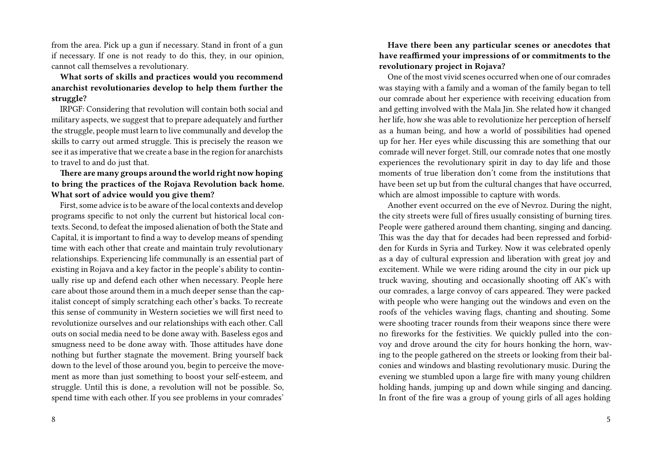from the area. Pick up a gun if necessary. Stand in front of a gun if necessary. If one is not ready to do this, they, in our opinion, cannot call themselves a revolutionary.

**What sorts of skills and practices would you recommend anarchist revolutionaries develop to help them further the struggle?**

IRPGF: Considering that revolution will contain both social and military aspects, we suggest that to prepare adequately and further the struggle, people must learn to live communally and develop the skills to carry out armed struggle. This is precisely the reason we see it as imperative that we create a base in the region for anarchists to travel to and do just that.

**There are many groups around the world right now hoping to bring the practices of the Rojava Revolution back home. What sort of advice would you give them?**

First, some advice is to be aware of the local contexts and develop programs specific to not only the current but historical local contexts. Second, to defeat the imposed alienation of both the State and Capital, it is important to find a way to develop means of spending time with each other that create and maintain truly revolutionary relationships. Experiencing life communally is an essential part of existing in Rojava and a key factor in the people's ability to continually rise up and defend each other when necessary. People here care about those around them in a much deeper sense than the capitalist concept of simply scratching each other's backs. To recreate this sense of community in Western societies we will first need to revolutionize ourselves and our relationships with each other. Call outs on social media need to be done away with. Baseless egos and smugness need to be done away with. Those attitudes have done nothing but further stagnate the movement. Bring yourself back down to the level of those around you, begin to perceive the movement as more than just something to boost your self-esteem, and struggle. Until this is done, a revolution will not be possible. So, spend time with each other. If you see problems in your comrades'

**Have there been any particular scenes or anecdotes that have reaffirmed your impressions of or commitments to the revolutionary project in Rojava?**

One of the most vivid scenes occurred when one of our comrades was staying with a family and a woman of the family began to tell our comrade about her experience with receiving education from and getting involved with the Mala Jin. She related how it changed her life, how she was able to revolutionize her perception of herself as a human being, and how a world of possibilities had opened up for her. Her eyes while discussing this are something that our comrade will never forget. Still, our comrade notes that one mostly experiences the revolutionary spirit in day to day life and those moments of true liberation don't come from the institutions that have been set up but from the cultural changes that have occurred, which are almost impossible to capture with words.

Another event occurred on the eve of Nevroz. During the night, the city streets were full of fires usually consisting of burning tires. People were gathered around them chanting, singing and dancing. This was the day that for decades had been repressed and forbidden for Kurds in Syria and Turkey. Now it was celebrated openly as a day of cultural expression and liberation with great joy and excitement. While we were riding around the city in our pick up truck waving, shouting and occasionally shooting off AK's with our comrades, a large convoy of cars appeared. They were packed with people who were hanging out the windows and even on the roofs of the vehicles waving flags, chanting and shouting. Some were shooting tracer rounds from their weapons since there were no fireworks for the festivities. We quickly pulled into the convoy and drove around the city for hours honking the horn, waving to the people gathered on the streets or looking from their balconies and windows and blasting revolutionary music. During the evening we stumbled upon a large fire with many young children holding hands, jumping up and down while singing and dancing. In front of the fire was a group of young girls of all ages holding